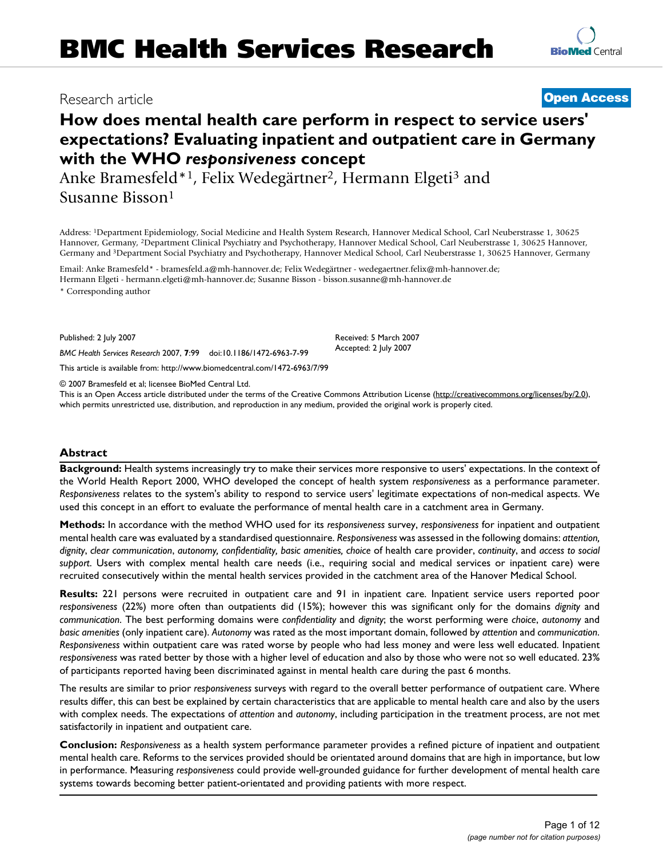# Research article **[Open Access](http://www.biomedcentral.com/info/about/charter/)**

## **How does mental health care perform in respect to service users' expectations? Evaluating inpatient and outpatient care in Germany with the WHO** *responsiveness* **concept**

Anke Bramesfeld\*<sup>1</sup>, Felix Wedegärtner<sup>2</sup>, Hermann Elgeti<sup>3</sup> and Susanne Bisson1

Address: 1Department Epidemiology, Social Medicine and Health System Research, Hannover Medical School, Carl Neuberstrasse 1, 30625 Hannover, Germany, 2Department Clinical Psychiatry and Psychotherapy, Hannover Medical School, Carl Neuberstrasse 1, 30625 Hannover, Germany and 3Department Social Psychiatry and Psychotherapy, Hannover Medical School, Carl Neuberstrasse 1, 30625 Hannover, Germany

Email: Anke Bramesfeld\* - bramesfeld.a@mh-hannover.de; Felix Wedegärtner - wedegaertner.felix@mh-hannover.de; Hermann Elgeti - hermann.elgeti@mh-hannover.de; Susanne Bisson - bisson.susanne@mh-hannover.de

\* Corresponding author

Published: 2 July 2007

*BMC Health Services Research* 2007, **7**:99 doi:10.1186/1472-6963-7-99

[This article is available from: http://www.biomedcentral.com/1472-6963/7/99](http://www.biomedcentral.com/1472-6963/7/99)

© 2007 Bramesfeld et al; licensee BioMed Central Ltd.

This is an Open Access article distributed under the terms of the Creative Commons Attribution License [\(http://creativecommons.org/licenses/by/2.0\)](http://creativecommons.org/licenses/by/2.0), which permits unrestricted use, distribution, and reproduction in any medium, provided the original work is properly cited.

Received: 5 March 2007 Accepted: 2 July 2007

#### **Abstract**

**Background:** Health systems increasingly try to make their services more responsive to users' expectations. In the context of the World Health Report 2000, WHO developed the concept of health system *responsiveness* as a performance parameter. *Responsiveness* relates to the system's ability to respond to service users' legitimate expectations of non-medical aspects. We used this concept in an effort to evaluate the performance of mental health care in a catchment area in Germany.

**Methods:** In accordance with the method WHO used for its *responsiveness* survey, *responsiveness* for inpatient and outpatient mental health care was evaluated by a standardised questionnaire. *Responsiveness* was assessed in the following domains: *attention, dignity*, *clear communication*, *autonomy, confidentiality, basic amenities, choice* of health care provider, *continuity*, and *access to social support*. Users with complex mental health care needs (i.e., requiring social and medical services or inpatient care) were recruited consecutively within the mental health services provided in the catchment area of the Hanover Medical School.

**Results:** 221 persons were recruited in outpatient care and 91 in inpatient care. Inpatient service users reported poor *responsiveness* (22%) more often than outpatients did (15%); however this was significant only for the domains *dignity* and *communication*. The best performing domains were *confidentiality* and *dignity*; the worst performing were *choice*, *autonomy* and *basic amenities* (only inpatient care). *Autonomy* was rated as the most important domain, followed by *attention* and *communication*. *Responsiveness* within outpatient care was rated worse by people who had less money and were less well educated. Inpatient *responsiveness* was rated better by those with a higher level of education and also by those who were not so well educated. 23% of participants reported having been discriminated against in mental health care during the past 6 months.

The results are similar to prior *responsiveness* surveys with regard to the overall better performance of outpatient care. Where results differ, this can best be explained by certain characteristics that are applicable to mental health care and also by the users with complex needs. The expectations of *attention* and *autonomy*, including participation in the treatment process, are not met satisfactorily in inpatient and outpatient care.

**Conclusion:** *Responsiveness* as a health system performance parameter provides a refined picture of inpatient and outpatient mental health care. Reforms to the services provided should be orientated around domains that are high in importance, but low in performance. Measuring *responsiveness* could provide well-grounded guidance for further development of mental health care systems towards becoming better patient-orientated and providing patients with more respect.

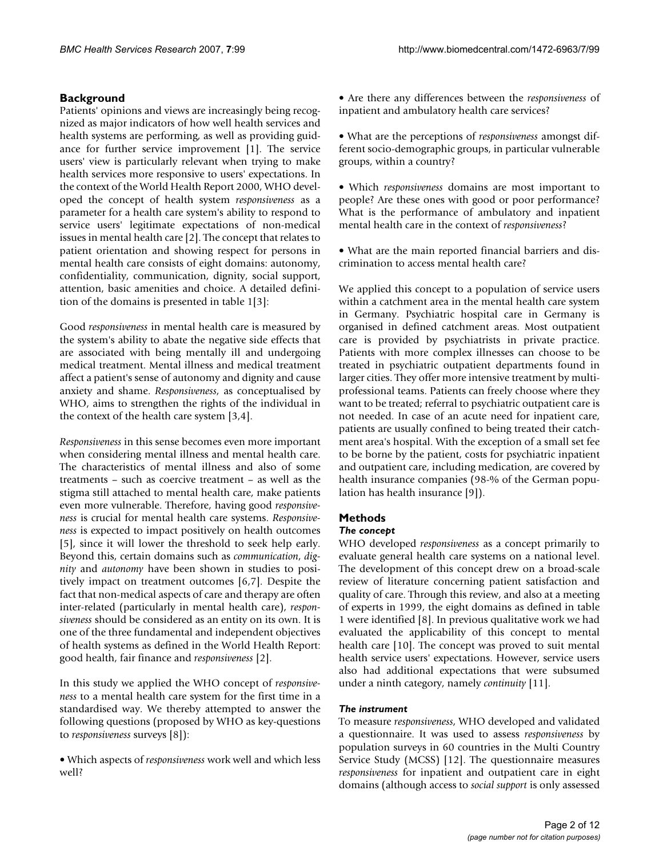#### **Background**

Patients' opinions and views are increasingly being recognized as major indicators of how well health services and health systems are performing, as well as providing guidance for further service improvement [1]. The service users' view is particularly relevant when trying to make health services more responsive to users' expectations. In the context of the World Health Report 2000, WHO developed the concept of health system *responsiveness* as a parameter for a health care system's ability to respond to service users' legitimate expectations of non-medical issues in mental health care [2]. The concept that relates to patient orientation and showing respect for persons in mental health care consists of eight domains: autonomy, confidentiality, communication, dignity, social support, attention, basic amenities and choice. A detailed definition of the domains is presented in table 1[3]:

Good *responsiveness* in mental health care is measured by the system's ability to abate the negative side effects that are associated with being mentally ill and undergoing medical treatment. Mental illness and medical treatment affect a patient's sense of autonomy and dignity and cause anxiety and shame. *Responsiveness*, as conceptualised by WHO, aims to strengthen the rights of the individual in the context of the health care system [3,4].

*Responsiveness* in this sense becomes even more important when considering mental illness and mental health care. The characteristics of mental illness and also of some treatments – such as coercive treatment – as well as the stigma still attached to mental health care, make patients even more vulnerable. Therefore, having good *responsiveness* is crucial for mental health care systems. *Responsiveness* is expected to impact positively on health outcomes [5], since it will lower the threshold to seek help early. Beyond this, certain domains such as *communication*, *dignity* and *autonomy* have been shown in studies to positively impact on treatment outcomes [6,7]. Despite the fact that non-medical aspects of care and therapy are often inter-related (particularly in mental health care), *responsiveness* should be considered as an entity on its own. It is one of the three fundamental and independent objectives of health systems as defined in the World Health Report: good health, fair finance and *responsiveness* [2].

In this study we applied the WHO concept of *responsiveness* to a mental health care system for the first time in a standardised way. We thereby attempted to answer the following questions (proposed by WHO as key-questions to *responsiveness* surveys [8]):

• Which aspects of *responsiveness* work well and which less well?

• Are there any differences between the *responsiveness* of inpatient and ambulatory health care services?

• What are the perceptions of *responsiveness* amongst different socio-demographic groups, in particular vulnerable groups, within a country?

• Which *responsiveness* domains are most important to people? Are these ones with good or poor performance? What is the performance of ambulatory and inpatient mental health care in the context of *responsiveness*?

• What are the main reported financial barriers and discrimination to access mental health care?

We applied this concept to a population of service users within a catchment area in the mental health care system in Germany. Psychiatric hospital care in Germany is organised in defined catchment areas. Most outpatient care is provided by psychiatrists in private practice. Patients with more complex illnesses can choose to be treated in psychiatric outpatient departments found in larger cities. They offer more intensive treatment by multiprofessional teams. Patients can freely choose where they want to be treated; referral to psychiatric outpatient care is not needed. In case of an acute need for inpatient care, patients are usually confined to being treated their catchment area's hospital. With the exception of a small set fee to be borne by the patient, costs for psychiatric inpatient and outpatient care, including medication, are covered by health insurance companies (98-% of the German population has health insurance [9]).

### **Methods**

#### *The concept*

WHO developed *responsiveness* as a concept primarily to evaluate general health care systems on a national level. The development of this concept drew on a broad-scale review of literature concerning patient satisfaction and quality of care. Through this review, and also at a meeting of experts in 1999, the eight domains as defined in table 1 were identified [8]. In previous qualitative work we had evaluated the applicability of this concept to mental health care [10]. The concept was proved to suit mental health service users' expectations. However, service users also had additional expectations that were subsumed under a ninth category, namely *continuity* [11].

#### *The instrument*

To measure *responsiveness*, WHO developed and validated a questionnaire. It was used to assess *responsiveness* by population surveys in 60 countries in the Multi Country Service Study (MCSS) [12]. The questionnaire measures *responsiveness* for inpatient and outpatient care in eight domains (although access to *social support* is only assessed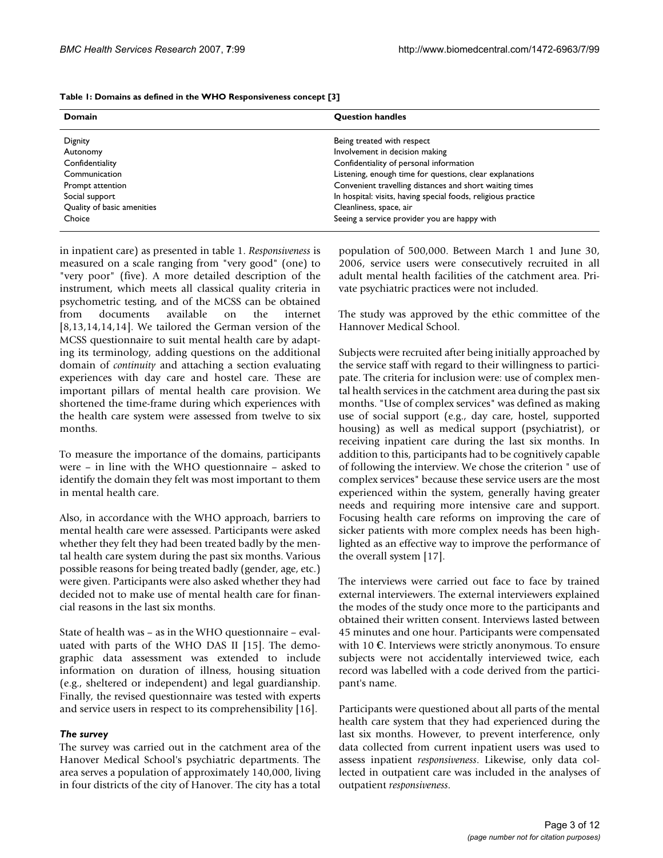| <b>Domain</b>              | <b>Question handles</b>                                       |  |  |  |
|----------------------------|---------------------------------------------------------------|--|--|--|
| Dignity                    | Being treated with respect                                    |  |  |  |
| Autonomy                   | Involvement in decision making                                |  |  |  |
| Confidentiality            | Confidentiality of personal information                       |  |  |  |
| Communication              | Listening, enough time for questions, clear explanations      |  |  |  |
| Prompt attention           | Convenient travelling distances and short waiting times       |  |  |  |
| Social support             | In hospital: visits, having special foods, religious practice |  |  |  |
| Quality of basic amenities | Cleanliness, space, air                                       |  |  |  |
| Choice                     | Seeing a service provider you are happy with                  |  |  |  |

**Table 1: Domains as defined in the WHO Responsiveness concept [3]**

in inpatient care) as presented in table 1. *Responsiveness* is measured on a scale ranging from "very good" (one) to "very poor" (five). A more detailed description of the instrument, which meets all classical quality criteria in psychometric testing, and of the MCSS can be obtained from documents available on the internet [8,13,14,14,14]. We tailored the German version of the MCSS questionnaire to suit mental health care by adapting its terminology, adding questions on the additional domain of *continuity* and attaching a section evaluating experiences with day care and hostel care. These are important pillars of mental health care provision. We shortened the time-frame during which experiences with the health care system were assessed from twelve to six months.

To measure the importance of the domains, participants were – in line with the WHO questionnaire – asked to identify the domain they felt was most important to them in mental health care.

Also, in accordance with the WHO approach, barriers to mental health care were assessed. Participants were asked whether they felt they had been treated badly by the mental health care system during the past six months. Various possible reasons for being treated badly (gender, age, etc.) were given. Participants were also asked whether they had decided not to make use of mental health care for financial reasons in the last six months.

State of health was – as in the WHO questionnaire – evaluated with parts of the WHO DAS II [15]. The demographic data assessment was extended to include information on duration of illness, housing situation (e.g., sheltered or independent) and legal guardianship. Finally, the revised questionnaire was tested with experts and service users in respect to its comprehensibility [16].

#### *The survey*

The survey was carried out in the catchment area of the Hanover Medical School's psychiatric departments. The area serves a population of approximately 140,000, living in four districts of the city of Hanover. The city has a total

population of 500,000. Between March 1 and June 30, 2006, service users were consecutively recruited in all adult mental health facilities of the catchment area. Private psychiatric practices were not included.

The study was approved by the ethic committee of the Hannover Medical School.

Subjects were recruited after being initially approached by the service staff with regard to their willingness to participate. The criteria for inclusion were: use of complex mental health services in the catchment area during the past six months. "Use of complex services" was defined as making use of social support (e.g., day care, hostel, supported housing) as well as medical support (psychiatrist), or receiving inpatient care during the last six months. In addition to this, participants had to be cognitively capable of following the interview. We chose the criterion " use of complex services" because these service users are the most experienced within the system, generally having greater needs and requiring more intensive care and support. Focusing health care reforms on improving the care of sicker patients with more complex needs has been highlighted as an effective way to improve the performance of the overall system [17].

The interviews were carried out face to face by trained external interviewers. The external interviewers explained the modes of the study once more to the participants and obtained their written consent. Interviews lasted between 45 minutes and one hour. Participants were compensated with 10  $\epsilon$ . Interviews were strictly anonymous. To ensure subjects were not accidentally interviewed twice, each record was labelled with a code derived from the participant's name.

Participants were questioned about all parts of the mental health care system that they had experienced during the last six months. However, to prevent interference, only data collected from current inpatient users was used to assess inpatient *responsiveness*. Likewise, only data collected in outpatient care was included in the analyses of outpatient *responsiveness*.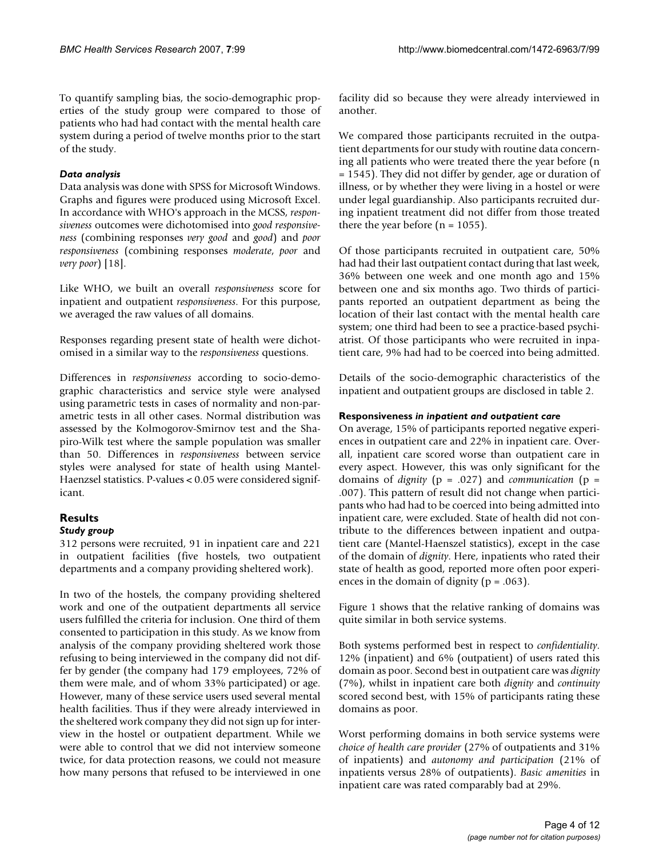To quantify sampling bias, the socio-demographic properties of the study group were compared to those of patients who had had contact with the mental health care system during a period of twelve months prior to the start of the study.

#### *Data analysis*

Data analysis was done with SPSS for Microsoft Windows. Graphs and figures were produced using Microsoft Excel. In accordance with WHO's approach in the MCSS, *responsiveness* outcomes were dichotomised into *good responsiveness* (combining responses *very good* and *good*) and *poor responsiveness* (combining responses *moderate*, *poor* and *very poor*) [18].

Like WHO, we built an overall *responsiveness* score for inpatient and outpatient *responsiveness*. For this purpose, we averaged the raw values of all domains.

Responses regarding present state of health were dichotomised in a similar way to the *responsiveness* questions.

Differences in *responsiveness* according to socio-demographic characteristics and service style were analysed using parametric tests in cases of normality and non-parametric tests in all other cases. Normal distribution was assessed by the Kolmogorov-Smirnov test and the Shapiro-Wilk test where the sample population was smaller than 50. Differences in *responsiveness* between service styles were analysed for state of health using Mantel-Haenzsel statistics. P-values < 0.05 were considered significant.

### **Results**

#### *Study group*

312 persons were recruited, 91 in inpatient care and 221 in outpatient facilities (five hostels, two outpatient departments and a company providing sheltered work).

In two of the hostels, the company providing sheltered work and one of the outpatient departments all service users fulfilled the criteria for inclusion. One third of them consented to participation in this study. As we know from analysis of the company providing sheltered work those refusing to being interviewed in the company did not differ by gender (the company had 179 employees, 72% of them were male, and of whom 33% participated) or age. However, many of these service users used several mental health facilities. Thus if they were already interviewed in the sheltered work company they did not sign up for interview in the hostel or outpatient department. While we were able to control that we did not interview someone twice, for data protection reasons, we could not measure how many persons that refused to be interviewed in one facility did so because they were already interviewed in another.

We compared those participants recruited in the outpatient departments for our study with routine data concerning all patients who were treated there the year before (n = 1545). They did not differ by gender, age or duration of illness, or by whether they were living in a hostel or were under legal guardianship. Also participants recruited during inpatient treatment did not differ from those treated there the year before  $(n = 1055)$ .

Of those participants recruited in outpatient care, 50% had had their last outpatient contact during that last week, 36% between one week and one month ago and 15% between one and six months ago. Two thirds of participants reported an outpatient department as being the location of their last contact with the mental health care system; one third had been to see a practice-based psychiatrist. Of those participants who were recruited in inpatient care, 9% had had to be coerced into being admitted.

Details of the socio-demographic characteristics of the inpatient and outpatient groups are disclosed in table 2.

#### **Responsiveness** *in inpatient and outpatient care*

On average, 15% of participants reported negative experiences in outpatient care and 22% in inpatient care. Overall, inpatient care scored worse than outpatient care in every aspect. However, this was only significant for the domains of *dignity* (p = .027) and *communication* (p = .007). This pattern of result did not change when participants who had had to be coerced into being admitted into inpatient care, were excluded. State of health did not contribute to the differences between inpatient and outpatient care (Mantel-Haenszel statistics), except in the case of the domain of *dignity*. Here, inpatients who rated their state of health as good, reported more often poor experiences in the domain of dignity ( $p = .063$ ).

Figure 1 shows that the relative ranking of domains was quite similar in both service systems.

Both systems performed best in respect to *confidentiality*. 12% (inpatient) and 6% (outpatient) of users rated this domain as poor. Second best in outpatient care was *dignity* (7%), whilst in inpatient care both *dignity* and *continuity* scored second best, with 15% of participants rating these domains as poor.

Worst performing domains in both service systems were *choice of health care provider* (27% of outpatients and 31% of inpatients) and *autonomy and participation* (21% of inpatients versus 28% of outpatients). *Basic amenities* in inpatient care was rated comparably bad at 29%.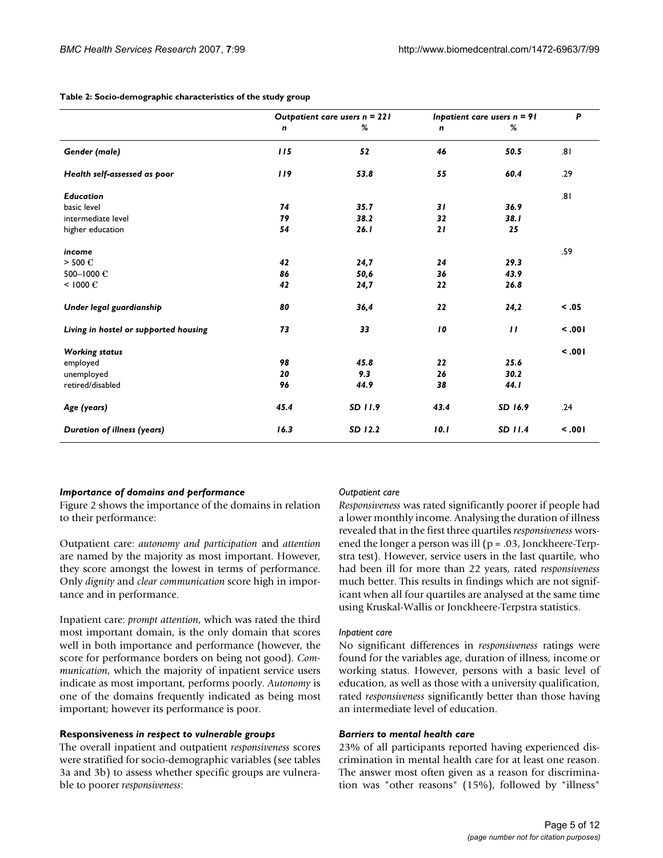#### **Table 2: Socio-demographic characteristics of the study group**

|                                       | Outpatient care users n = 221 |         | Inpatient care users n = 91 |                | P     |
|---------------------------------------|-------------------------------|---------|-----------------------------|----------------|-------|
|                                       | n                             | $\%$    | n                           | %              |       |
| Gender (male)                         | 115                           | 52      | 46                          | 50.5           | .81   |
| Health self-assessed as poor          | 119                           | 53.8    | 55                          | 60.4           | .29   |
| <b>Education</b>                      |                               |         |                             |                | .81   |
| basic level                           | 74                            | 35.7    | 31                          | 36.9           |       |
| intermediate level                    | 79                            | 38.2    | 32                          | 38.1           |       |
| higher education                      | 54                            | 26.1    | 21                          | 25             |       |
| income                                |                               |         |                             |                | .59   |
| $>$ 500 €                             | 42                            | 24,7    | 24                          | 29.3           |       |
| 500-1000€                             | 86                            | 50,6    | 36                          | 43.9           |       |
| < 1000 €                              | 42                            | 24,7    | 22                          | 26.8           |       |
| Under legal guardianship              | 80                            | 36,4    | 22                          | 24,2           | < .05 |
| Living in hostel or supported housing | 73                            | 33      | 10                          | $\mathbf{H}$   | 5.001 |
| <b>Working status</b>                 |                               |         |                             |                | 5.001 |
| employed                              | 98                            | 45.8    | 22                          | 25.6           |       |
| unemployed                            | 20                            | 9.3     | 26                          | 30.2           |       |
| retired/disabled                      | 96                            | 44.9    | 38                          | 44.I           |       |
| Age (years)                           | 45.4                          | SD 11.9 | 43.4                        | SD 16.9        | .24   |
| <b>Duration of illness (years)</b>    | 16.3                          | SD 12.2 | 10.1                        | <b>SD 11.4</b> | 5.001 |

#### *Importance of domains and performance*

Figure 2 shows the importance of the domains in relation to their performance:

Outpatient care: *autonomy and participation* and *attention* are named by the majority as most important. However, they score amongst the lowest in terms of performance. Only *dignity* and *clear communication* score high in importance and in performance.

Inpatient care: *prompt attention*, which was rated the third most important domain, is the only domain that scores well in both importance and performance (however, the score for performance borders on being not good). *Communication*, which the majority of inpatient service users indicate as most important, performs poorly. *Autonomy* is one of the domains frequently indicated as being most important; however its performance is poor.

#### **Responsiveness** *in respect to vulnerable groups*

The overall inpatient and outpatient *responsiveness* scores were stratified for socio-demographic variables (see tables 3a and 3b) to assess whether specific groups are vulnerable to poorer *responsiveness*:

#### *Outpatient care*

*Responsiveness* was rated significantly poorer if people had a lower monthly income. Analysing the duration of illness revealed that in the first three quartiles *responsiveness* worsened the longer a person was ill  $(p = .03,$  Jonckheere-Terpstra test). However, service users in the last quartile, who had been ill for more than 22 years, rated *responsiveness* much better. This results in findings which are not significant when all four quartiles are analysed at the same time using Kruskal-Wallis or Jonckheere-Terpstra statistics.

#### *Inpatient care*

No significant differences in *responsiveness* ratings were found for the variables age, duration of illness, income or working status. However, persons with a basic level of education, as well as those with a university qualification, rated *responsiveness* significantly better than those having an intermediate level of education.

#### *Barriers to mental health care*

23% of all participants reported having experienced discrimination in mental health care for at least one reason. The answer most often given as a reason for discrimination was "other reasons" (15%), followed by "illness"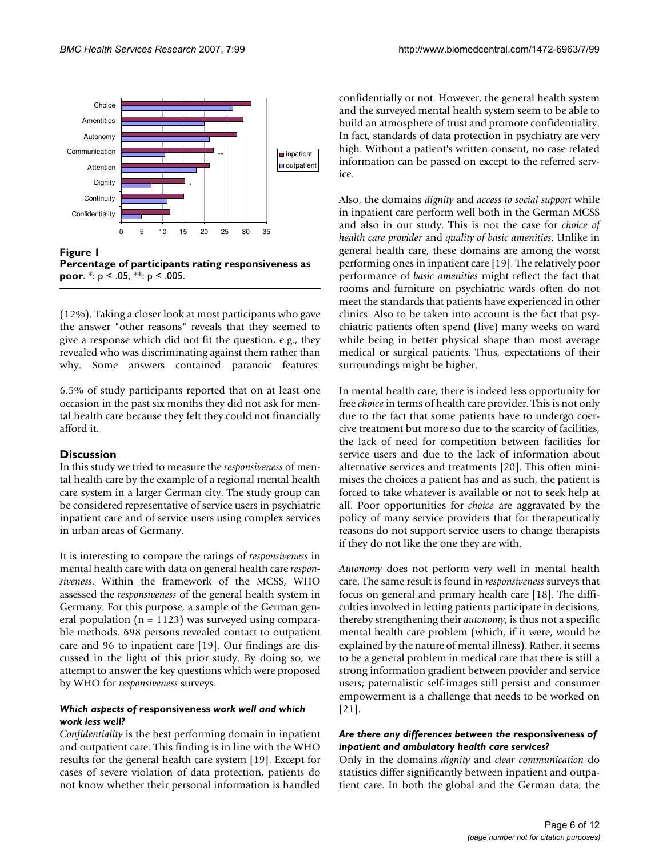

**Percentage of participants rating responsiveness as poor**. \*: p < .05, \*\*: p < .005.

(12%). Taking a closer look at most participants who gave the answer "other reasons" reveals that they seemed to give a response which did not fit the question, e.g., they revealed who was discriminating against them rather than why. Some answers contained paranoic features.

6.5% of study participants reported that on at least one occasion in the past six months they did not ask for mental health care because they felt they could not financially afford it.

#### **Discussion**

In this study we tried to measure the *responsiveness* of mental health care by the example of a regional mental health care system in a larger German city. The study group can be considered representative of service users in psychiatric inpatient care and of service users using complex services in urban areas of Germany.

It is interesting to compare the ratings of *responsiveness* in mental health care with data on general health care *responsiveness*. Within the framework of the MCSS, WHO assessed the *responsiveness* of the general health system in Germany. For this purpose, a sample of the German general population ( $n = 1123$ ) was surveyed using comparable methods. 698 persons revealed contact to outpatient care and 96 to inpatient care [19]. Our findings are discussed in the light of this prior study. By doing so, we attempt to answer the key questions which were proposed by WHO for *responsiveness* surveys.

#### *Which aspects of* **responsiveness** *work well and which work less well?*

*Confidentiality* is the best performing domain in inpatient and outpatient care. This finding is in line with the WHO results for the general health care system [19]. Except for cases of severe violation of data protection, patients do not know whether their personal information is handled

confidentially or not. However, the general health system and the surveyed mental health system seem to be able to build an atmosphere of trust and promote confidentiality. In fact, standards of data protection in psychiatry are very high. Without a patient's written consent, no case related information can be passed on except to the referred service.

Also, the domains *dignity* and *access to social support* while in inpatient care perform well both in the German MCSS and also in our study. This is not the case for *choice of health care provider* and *quality of basic amenities*. Unlike in general health care, these domains are among the worst performing ones in inpatient care [19]. The relatively poor performance of *basic amenities* might reflect the fact that rooms and furniture on psychiatric wards often do not meet the standards that patients have experienced in other clinics. Also to be taken into account is the fact that psychiatric patients often spend (live) many weeks on ward while being in better physical shape than most average medical or surgical patients. Thus, expectations of their surroundings might be higher.

In mental health care, there is indeed less opportunity for free *choice* in terms of health care provider. This is not only due to the fact that some patients have to undergo coercive treatment but more so due to the scarcity of facilities, the lack of need for competition between facilities for service users and due to the lack of information about alternative services and treatments [20]. This often minimises the choices a patient has and as such, the patient is forced to take whatever is available or not to seek help at all. Poor opportunities for *choice* are aggravated by the policy of many service providers that for therapeutically reasons do not support service users to change therapists if they do not like the one they are with.

*Autonomy* does not perform very well in mental health care. The same result is found in *responsiveness* surveys that focus on general and primary health care [18]. The difficulties involved in letting patients participate in decisions, thereby strengthening their *autonomy*, is thus not a specific mental health care problem (which, if it were, would be explained by the nature of mental illness). Rather, it seems to be a general problem in medical care that there is still a strong information gradient between provider and service users; paternalistic self-images still persist and consumer empowerment is a challenge that needs to be worked on [21].

#### *Are there any differences between the* **responsiveness** *of inpatient and ambulatory health care services?*

Only in the domains *dignity* and *clear communication* do statistics differ significantly between inpatient and outpatient care. In both the global and the German data, the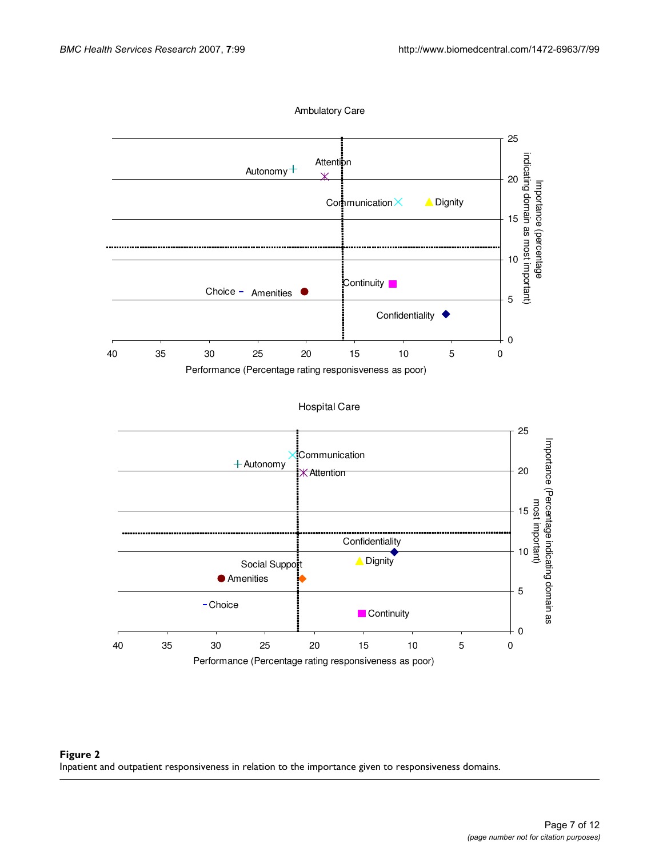

#### Inpatient and outpatient responsivene **Figure 2** ss in relation to the importance given to responsiveness domains Inpatient and outpatient responsiveness in relation to the importance given to responsiveness domains.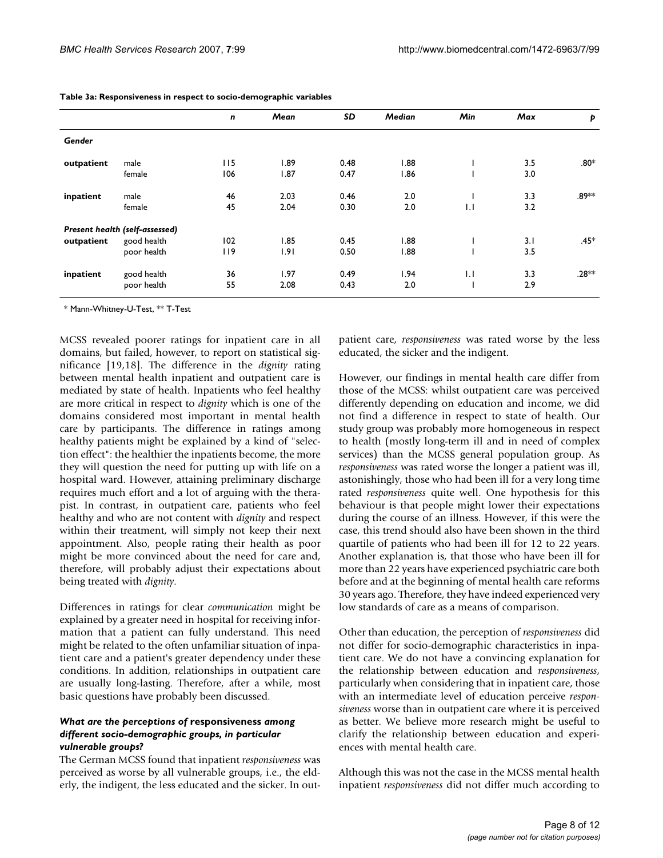|            |                                | $\mathbf n$ | Mean | SD   | Median | Min          | Max | Þ      |
|------------|--------------------------------|-------------|------|------|--------|--------------|-----|--------|
| Gender     |                                |             |      |      |        |              |     |        |
| outpatient | male                           | 115         | 1.89 | 0.48 | 1.88   |              | 3.5 | $.80*$ |
|            | female                         | 106         | 1.87 | 0.47 | 1.86   |              | 3.0 |        |
| inpatient  | male                           | 46          | 2.03 | 0.46 | 2.0    |              | 3.3 | .89 ** |
|            | female                         | 45          | 2.04 | 0.30 | 2.0    | 1.1          | 3.2 |        |
|            | Present health (self-assessed) |             |      |      |        |              |     |        |
| outpatient | good health                    | 102         | 1.85 | 0.45 | 1.88   |              | 3.1 | $.45*$ |
|            | poor health                    | 119         | 1.91 | 0.50 | 1.88   |              | 3.5 |        |
| inpatient  | good health                    | 36          | 1.97 | 0.49 | 1.94   | $\mathsf{L}$ | 3.3 | .28**  |
|            | poor health                    | 55          | 2.08 | 0.43 | 2.0    |              | 2.9 |        |

**Table 3a: Responsiveness in respect to socio-demographic variables**

\* Mann-Whitney-U-Test, \*\* T-Test

MCSS revealed poorer ratings for inpatient care in all domains, but failed, however, to report on statistical significance [19,18]. The difference in the *dignity* rating between mental health inpatient and outpatient care is mediated by state of health. Inpatients who feel healthy are more critical in respect to *dignity* which is one of the domains considered most important in mental health care by participants. The difference in ratings among healthy patients might be explained by a kind of "selection effect": the healthier the inpatients become, the more they will question the need for putting up with life on a hospital ward. However, attaining preliminary discharge requires much effort and a lot of arguing with the therapist. In contrast, in outpatient care, patients who feel healthy and who are not content with *dignity* and respect within their treatment, will simply not keep their next appointment. Also, people rating their health as poor might be more convinced about the need for care and, therefore, will probably adjust their expectations about being treated with *dignity*.

Differences in ratings for clear *communication* might be explained by a greater need in hospital for receiving information that a patient can fully understand. This need might be related to the often unfamiliar situation of inpatient care and a patient's greater dependency under these conditions. In addition, relationships in outpatient care are usually long-lasting. Therefore, after a while, most basic questions have probably been discussed.

#### *What are the perceptions of* **responsiveness** *among different socio-demographic groups, in particular vulnerable groups?*

The German MCSS found that inpatient *responsiveness* was perceived as worse by all vulnerable groups, i.e., the elderly, the indigent, the less educated and the sicker. In outpatient care, *responsiveness* was rated worse by the less educated, the sicker and the indigent.

However, our findings in mental health care differ from those of the MCSS: whilst outpatient care was perceived differently depending on education and income, we did not find a difference in respect to state of health. Our study group was probably more homogeneous in respect to health (mostly long-term ill and in need of complex services) than the MCSS general population group. As *responsiveness* was rated worse the longer a patient was ill, astonishingly, those who had been ill for a very long time rated *responsiveness* quite well. One hypothesis for this behaviour is that people might lower their expectations during the course of an illness. However, if this were the case, this trend should also have been shown in the third quartile of patients who had been ill for 12 to 22 years. Another explanation is, that those who have been ill for more than 22 years have experienced psychiatric care both before and at the beginning of mental health care reforms 30 years ago. Therefore, they have indeed experienced very low standards of care as a means of comparison.

Other than education, the perception of *responsiveness* did not differ for socio-demographic characteristics in inpatient care. We do not have a convincing explanation for the relationship between education and *responsiveness*, particularly when considering that in inpatient care, those with an intermediate level of education perceive *responsiveness* worse than in outpatient care where it is perceived as better. We believe more research might be useful to clarify the relationship between education and experiences with mental health care.

Although this was not the case in the MCSS mental health inpatient *responsiveness* did not differ much according to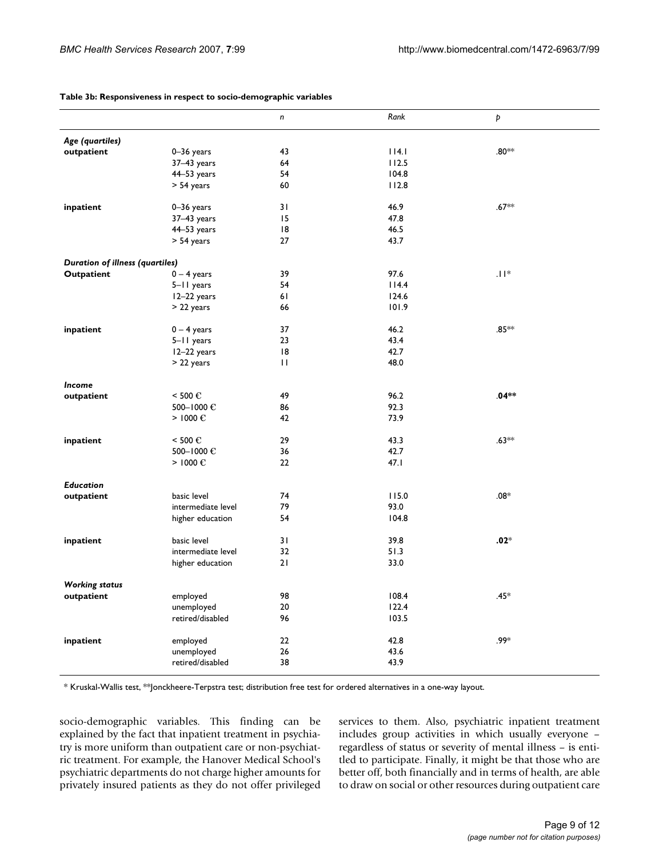|                                        |                    |                  | Rank  |         |
|----------------------------------------|--------------------|------------------|-------|---------|
|                                        |                    | $\boldsymbol{n}$ |       | Þ       |
| Age (quartiles)                        |                    |                  |       |         |
| outpatient                             | 0-36 years         | 43               | 114.1 | $.80**$ |
|                                        | $37-43$ years      | 64               | 112.5 |         |
|                                        | 44-53 years        | 54               | 104.8 |         |
|                                        | > 54 years         | 60               | 112.8 |         |
|                                        |                    |                  |       |         |
| inpatient                              | $0 - 36$ years     | 31               | 46.9  | $.67**$ |
|                                        | $37-43$ years      | 15               | 47.8  |         |
|                                        | 44-53 years        | 8                | 46.5  |         |
|                                        | > 54 years         | 27               | 43.7  |         |
|                                        |                    |                  |       |         |
| <b>Duration of illness (quartiles)</b> |                    |                  |       |         |
| <b>Outpatient</b>                      | $0 - 4$ years      | 39               | 97.6  | $ 1*$   |
|                                        | 5-11 years         | 54               | 114.4 |         |
|                                        | 12-22 years        | 61               | 124.6 |         |
|                                        | > 22 years         | 66               | 101.9 |         |
| inpatient                              | $0 - 4$ years      | 37               | 46.2  | $.85**$ |
|                                        | 5-11 years         | 23               | 43.4  |         |
|                                        | 12-22 years        | 8                | 42.7  |         |
|                                        | > 22 years         | $\mathbf{H}$     | 48.0  |         |
|                                        |                    |                  |       |         |
| Income                                 |                    |                  |       |         |
| outpatient                             | < 500 €            | 49               | 96.2  | .04**   |
|                                        | 500-1000€          | 86               | 92.3  |         |
|                                        | > 1000 €           | 42               | 73.9  |         |
|                                        |                    |                  |       |         |
| inpatient                              | < 500 €            | 29               | 43.3  | $.63**$ |
|                                        | 500-1000 €         | 36               | 42.7  |         |
|                                        | > 1000 €           | 22               | 47.1  |         |
|                                        |                    |                  |       |         |
| <b>Education</b>                       | basic level        | 74               | 115.0 | $.08*$  |
| outpatient                             | intermediate level | 79               | 93.0  |         |
|                                        | higher education   | 54               | 104.8 |         |
|                                        |                    |                  |       |         |
| inpatient                              | basic level        | 31               | 39.8  | $.02*$  |
|                                        | intermediate level | 32               | 51.3  |         |
|                                        | higher education   | 21               | 33.0  |         |
|                                        |                    |                  |       |         |
| <b>Working status</b>                  |                    |                  |       |         |
| outpatient                             | employed           | 98               | 108.4 | $.45*$  |
|                                        | unemployed         | $20\,$           | 122.4 |         |
|                                        | retired/disabled   | 96               | 103.5 |         |
|                                        |                    |                  |       |         |
| inpatient                              | employed           | 22               | 42.8  | .99*    |
|                                        | unemployed         | 26               | 43.6  |         |
|                                        | retired/disabled   | 38               | 43.9  |         |

#### **Table 3b: Responsiveness in respect to socio-demographic variables**

\* Kruskal-Wallis test, \*\*Jonckheere-Terpstra test; distribution free test for ordered alternatives in a one-way layout.

socio-demographic variables. This finding can be explained by the fact that inpatient treatment in psychiatry is more uniform than outpatient care or non-psychiatric treatment. For example, the Hanover Medical School's psychiatric departments do not charge higher amounts for privately insured patients as they do not offer privileged services to them. Also, psychiatric inpatient treatment includes group activities in which usually everyone – regardless of status or severity of mental illness – is entitled to participate. Finally, it might be that those who are better off, both financially and in terms of health, are able to draw on social or other resources during outpatient care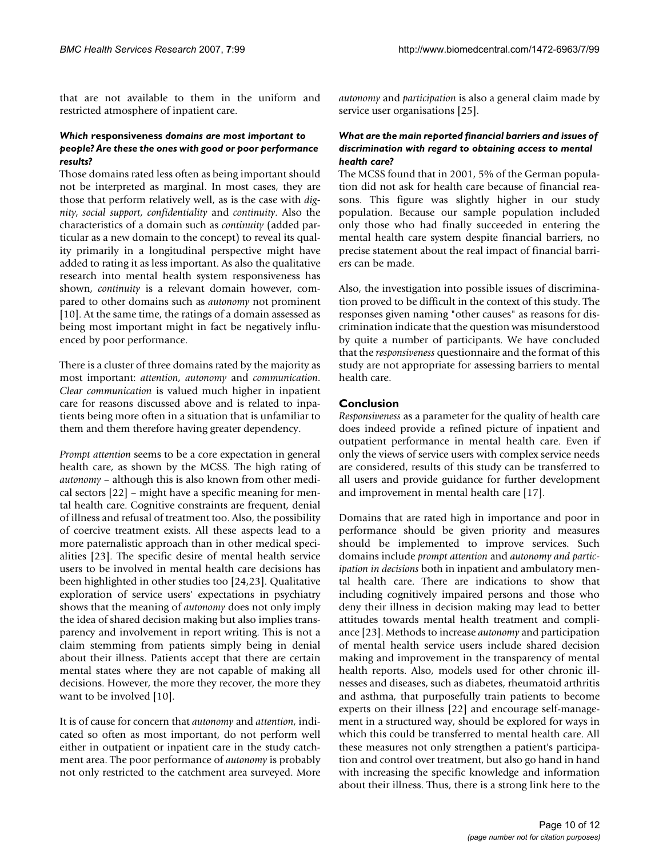that are not available to them in the uniform and restricted atmosphere of inpatient care.

#### *Which* **responsiveness** *domains are most important to people? Are these the ones with good or poor performance results?*

Those domains rated less often as being important should not be interpreted as marginal. In most cases, they are those that perform relatively well, as is the case with *dignity*, *social support*, *confidentiality* and *continuity*. Also the characteristics of a domain such as *continuity* (added particular as a new domain to the concept) to reveal its quality primarily in a longitudinal perspective might have added to rating it as less important. As also the qualitative research into mental health system responsiveness has shown, *continuity* is a relevant domain however, compared to other domains such as *autonomy* not prominent [10]. At the same time, the ratings of a domain assessed as being most important might in fact be negatively influenced by poor performance.

There is a cluster of three domains rated by the majority as most important: *attention*, *autonomy* and *communication*. *Clear communication* is valued much higher in inpatient care for reasons discussed above and is related to inpatients being more often in a situation that is unfamiliar to them and them therefore having greater dependency.

*Prompt attention* seems to be a core expectation in general health care, as shown by the MCSS. The high rating of *autonomy* – although this is also known from other medical sectors [22] – might have a specific meaning for mental health care. Cognitive constraints are frequent, denial of illness and refusal of treatment too. Also, the possibility of coercive treatment exists. All these aspects lead to a more paternalistic approach than in other medical specialities [23]. The specific desire of mental health service users to be involved in mental health care decisions has been highlighted in other studies too [24,23]. Qualitative exploration of service users' expectations in psychiatry shows that the meaning of *autonomy* does not only imply the idea of shared decision making but also implies transparency and involvement in report writing. This is not a claim stemming from patients simply being in denial about their illness. Patients accept that there are certain mental states where they are not capable of making all decisions. However, the more they recover, the more they want to be involved [10].

It is of cause for concern that *autonomy* and *attention*, indicated so often as most important, do not perform well either in outpatient or inpatient care in the study catchment area. The poor performance of *autonomy* is probably not only restricted to the catchment area surveyed. More *autonomy* and *participation* is also a general claim made by service user organisations [25].

#### *What are the main reported financial barriers and issues of discrimination with regard to obtaining access to mental health care?*

The MCSS found that in 2001, 5% of the German population did not ask for health care because of financial reasons. This figure was slightly higher in our study population. Because our sample population included only those who had finally succeeded in entering the mental health care system despite financial barriers, no precise statement about the real impact of financial barriers can be made.

Also, the investigation into possible issues of discrimination proved to be difficult in the context of this study. The responses given naming "other causes" as reasons for discrimination indicate that the question was misunderstood by quite a number of participants. We have concluded that the *responsiveness* questionnaire and the format of this study are not appropriate for assessing barriers to mental health care.

#### **Conclusion**

*Responsiveness* as a parameter for the quality of health care does indeed provide a refined picture of inpatient and outpatient performance in mental health care. Even if only the views of service users with complex service needs are considered, results of this study can be transferred to all users and provide guidance for further development and improvement in mental health care [17].

Domains that are rated high in importance and poor in performance should be given priority and measures should be implemented to improve services. Such domains include *prompt attention* and *autonomy and participation in decisions* both in inpatient and ambulatory mental health care. There are indications to show that including cognitively impaired persons and those who deny their illness in decision making may lead to better attitudes towards mental health treatment and compliance [23]. Methods to increase *autonomy* and participation of mental health service users include shared decision making and improvement in the transparency of mental health reports. Also, models used for other chronic illnesses and diseases, such as diabetes, rheumatoid arthritis and asthma, that purposefully train patients to become experts on their illness [22] and encourage self-management in a structured way, should be explored for ways in which this could be transferred to mental health care. All these measures not only strengthen a patient's participation and control over treatment, but also go hand in hand with increasing the specific knowledge and information about their illness. Thus, there is a strong link here to the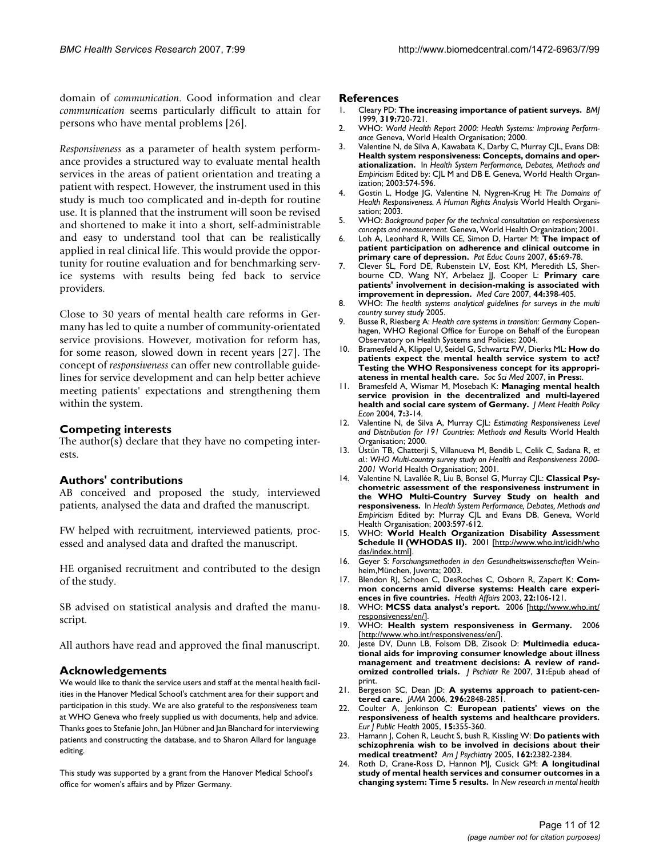domain of *communication*. Good information and clear *communication* seems particularly difficult to attain for persons who have mental problems [26].

*Responsiveness* as a parameter of health system performance provides a structured way to evaluate mental health services in the areas of patient orientation and treating a patient with respect. However, the instrument used in this study is much too complicated and in-depth for routine use. It is planned that the instrument will soon be revised and shortened to make it into a short, self-administrable and easy to understand tool that can be realistically applied in real clinical life. This would provide the opportunity for routine evaluation and for benchmarking service systems with results being fed back to service providers.

Close to 30 years of mental health care reforms in Germany has led to quite a number of community-orientated service provisions. However, motivation for reform has, for some reason, slowed down in recent years [27]. The concept of *responsiveness* can offer new controllable guidelines for service development and can help better achieve meeting patients' expectations and strengthening them within the system.

#### **Competing interests**

The author(s) declare that they have no competing interests.

#### **Authors' contributions**

AB conceived and proposed the study, interviewed patients, analysed the data and drafted the manuscript.

FW helped with recruitment, interviewed patients, processed and analysed data and drafted the manuscript.

HE organised recruitment and contributed to the design of the study.

SB advised on statistical analysis and drafted the manuscript.

All authors have read and approved the final manuscript.

#### **Acknowledgements**

We would like to thank the service users and staff at the mental health facilities in the Hanover Medical School's catchment area for their support and participation in this study. We are also grateful to the *responsiveness* team at WHO Geneva who freely supplied us with documents, help and advice. Thanks goes to Stefanie John, Jan Hübner and Jan Blanchard for interviewing patients and constructing the database, and to Sharon Allard for language editing.

This study was supported by a grant from the Hanover Medical School's office for women's affairs and by Pfizer Germany.

#### **References**

- 1. Cleary PD: **[The increasing importance of patient surveys.](http://www.ncbi.nlm.nih.gov/entrez/query.fcgi?cmd=Retrieve&db=PubMed&dopt=Abstract&list_uids=10487981)** *BMJ* 1999, **319:**720-721.
- 2. WHO: *World Health Report 2000: Health Systems: Improving Performance* Geneva, World Health Organisation; 2000.
- 3. Valentine N, de Silva A, Kawabata K, Darby C, Murray CJL, Evans DB: **Health system responsiveness: Concepts, domains and operationalization.** In *Health System Performance, Debates, Methods and Empiricism* Edited by: CJL M and DB E. Geneva, World Health Organization; 2003:574-596.
- 4. Gostin L, Hodge JG, Valentine N, Nygren-Krug H: *The Domains of Health Responsiveness. A Human Rights Analysis* World Health Organisation; 2003.
- 5. WHO: *Background paper for the technical consultation on responsiveness concepts and measurement.* Geneva, World Health Organization; 2001.
- Loh A, Leonhard R, Wills CE, Simon D, Harter M: The impact of **patient participation on adherence and clinical outcome in primary care of depression.** *Pat Educ Couns* 2007, **65:**69-78.
- 7. Clever SL, Ford DE, Rubenstein LV, Eost KM, Meredith LS, Sherbourne CD, Wang NY, Arbelaez JJ, Cooper L: **Primary care patients' involvement in decision-making is associated with improvement in depression.** *Med Care* 2007, **44:**398-405.
- 8. WHO: *The health systems analytical guidelines for surveys in the multi country survey study* 2005.
- 9. Busse R, Riesberg A: *Health care systems in transition: Germany* Copenhagen, WHO Regional Office for Europe on Behalf of the European Observatory on Health Systems and Policies; 2004.
- 10. Bramesfeld A, Klippel U, Seidel G, Schwartz FW, Dierks ML: **How do patients expect the mental health service system to act? Testing the WHO Responsiveness concept for its appropriateness in mental health care.** *Soc Sci Med* 2007, **in Press:**.
- 11. Bramesfeld A, Wismar M, Mosebach K: **[Managing mental health](http://www.ncbi.nlm.nih.gov/entrez/query.fcgi?cmd=Retrieve&db=PubMed&dopt=Abstract&list_uids=15253061) [service provision in the decentralized and multi-layered](http://www.ncbi.nlm.nih.gov/entrez/query.fcgi?cmd=Retrieve&db=PubMed&dopt=Abstract&list_uids=15253061) [health and social care system of Germany.](http://www.ncbi.nlm.nih.gov/entrez/query.fcgi?cmd=Retrieve&db=PubMed&dopt=Abstract&list_uids=15253061)** *J Ment Health Policy Econ* 2004, **7:**3-14.
- 12. Valentine N, de Silva A, Murray CJL: *Estimating Responsiveness Level and Distribution for 191 Countries: Methods and Results* World Health Organisation; 2000.
- 13. Üstün TB, Chatterji S, Villanueva M, Bendib L, Celik C, Sadana R, *et al.*: *WHO Multi-country survey study on Health and Responsiveness 2000- 2001* World Health Organisation; 2001.
- 14. Valentine N, Lavallée R, Liu B, Bonsel G, Murray CJL: **Classical Psychometric assessment of the responsiveness instrument in the WHO Multi-Country Survey Study on health and responsiveness.** In *Health System Performance, Debates, Methods and Empiricism* Edited by: Murray CJL and Evans DB. Geneva, World Health Organisation; 2003:597-612.
- 15. WHO: **World Health Organization Disability Assessment Schedule II (WHODAS II).** 2001 [\[http://www.who.int/icidh/who](http://www.who.int/icidh/whodas/index.html) [das/index.html\]](http://www.who.int/icidh/whodas/index.html).
- 16. Geyer S: *Forschungsmethoden in den Gesundheitswissenschaften* Weinheim,München, Juventa; 2003.
- 17. Blendon RJ, Schoen C, DesRoches C, Osborn R, Zapert K: **[Com](http://www.ncbi.nlm.nih.gov/entrez/query.fcgi?cmd=Retrieve&db=PubMed&dopt=Abstract&list_uids=12757276)[mon concerns amid diverse systems: Health care experi](http://www.ncbi.nlm.nih.gov/entrez/query.fcgi?cmd=Retrieve&db=PubMed&dopt=Abstract&list_uids=12757276)[ences in five countries.](http://www.ncbi.nlm.nih.gov/entrez/query.fcgi?cmd=Retrieve&db=PubMed&dopt=Abstract&list_uids=12757276)** *Health Affairs* 2003, **22:**106-121.
- 18. WHO: **MCSS data analyst's report.** 2006 [[http://www.who.int/](http://www.who.int/responsiveness/en/) [responsiveness/en/](http://www.who.int/responsiveness/en/)].
- 19. WHO: **Health system responsiveness in Germany.** 2006 [[http://www.who.int/responsiveness/en/\]](http://www.who.int/responsiveness/en/).
- 20. Jeste DV, Dunn LB, Folsom DB, Zisook D: **Multimedia educational aids for improving consumer knowledge about illness management and treatment decisions: A review of randomized controlled trials.** *J Pschiatr Re* 2007, **31:**Epub ahead of print.
- 21. Bergeson SC, Dean JD: **[A systems approach to patient-cen](http://www.ncbi.nlm.nih.gov/entrez/query.fcgi?cmd=Retrieve&db=PubMed&dopt=Abstract&list_uids=17179462)[tered care.](http://www.ncbi.nlm.nih.gov/entrez/query.fcgi?cmd=Retrieve&db=PubMed&dopt=Abstract&list_uids=17179462)** *JAMA* 2006, **296:**2848-2851.
- 22. Coulter A, Jenkinson C: **[European patients' views on the](http://www.ncbi.nlm.nih.gov/entrez/query.fcgi?cmd=Retrieve&db=PubMed&dopt=Abstract&list_uids=15975955) [responsiveness of health systems and healthcare providers.](http://www.ncbi.nlm.nih.gov/entrez/query.fcgi?cmd=Retrieve&db=PubMed&dopt=Abstract&list_uids=15975955)** *Eur J Public Health* 2005, **15:**355-360.
- 23. Hamann J, Cohen R, Leucht S, bush R, Kissling W: **[Do patients with](http://www.ncbi.nlm.nih.gov/entrez/query.fcgi?cmd=Retrieve&db=PubMed&dopt=Abstract&list_uids=16330606) [schizophrenia wish to be involved in decisions about their](http://www.ncbi.nlm.nih.gov/entrez/query.fcgi?cmd=Retrieve&db=PubMed&dopt=Abstract&list_uids=16330606) [medical treatment?](http://www.ncbi.nlm.nih.gov/entrez/query.fcgi?cmd=Retrieve&db=PubMed&dopt=Abstract&list_uids=16330606)** *Am J Psychiatry* 2005, **162:**2382-2384.
- 24. Roth D, Crane-Ross D, Hannon MJ, Cusick GM: **A longitudinal study of mental health services and consumer outcomes in a changing system: Time 5 results.** In *New research in mental health*